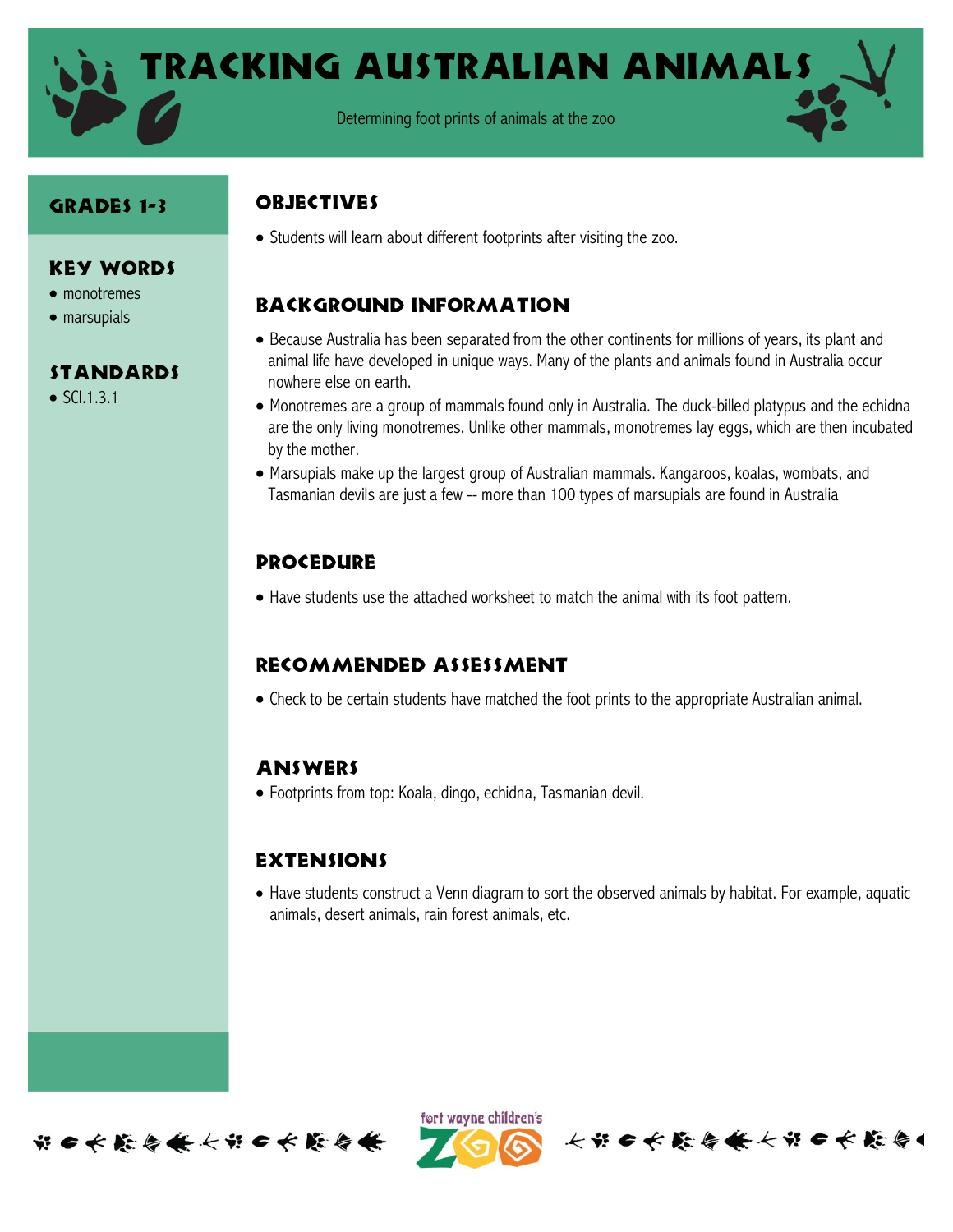

#### Grades 1-3

Key Words • monotremes • marsupials

**STANDARDS** 

 $\bullet$  SCI.1.3.1

### **OBJECTIVES**

Students will learn about different footprints after visiting the zoo.

# Background information

- Because Australia has been separated from the other continents for millions of years, its plant and animal life have developed in unique ways. Many of the plants and animals found in Australia occur nowhere else on earth.
- Monotremes are a group of mammals found only in Australia. The duck-billed platypus and the echidna are the only living monotremes. Unlike other mammals, monotremes lay eggs, which are then incubated by the mother.
- Marsupials make up the largest group of Australian mammals. Kangaroos, koalas, wombats, and Tasmanian devils are just a few -- more than 100 types of marsupials are found in Australia

## **PROCEDURE**

Have students use the attached worksheet to match the animal with its foot pattern.

### Recommended assessment

Check to be certain students have matched the foot prints to the appropriate Australian animal.

### **ANSWERS**

Footprints from top: Koala, dingo, echidna, Tasmanian devil.

### **EXTENSIONS**

 Have students construct a Venn diagram to sort the observed animals by habitat. For example, aquatic animals, desert animals, rain forest animals, etc.





长节日长能与长长节日长能与